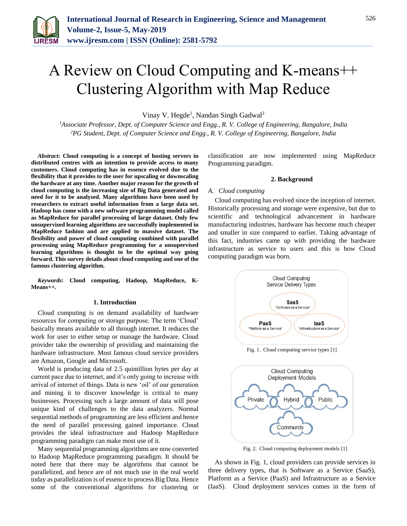

# A Review on Cloud Computing and K-means++ Clustering Algorithm with Map Reduce

Vinay V. Hegde<sup>1</sup>, Nandan Singh Gadwal<sup>2</sup>

*<sup>1</sup>Associate Professor, Dept. of Computer Science and Engg., R. V. College of Engineering, Bangalore, India 2PG Student, Dept. of Computer Science and Engg., R. V. College of Engineering, Bangalore, India*

*Abstract***: Cloud computing is a concept of hosting servers in distributed centres with an intention to provide access to many customers. Cloud computing has in essence evolved due to the flexibility that it provides to the user for upscaling or downscaling the hardware at any time. Another major reason for the growth of cloud computing is the increasing size of Big Data generated and need for it to be analysed. Many algorithms have been used by researchers to extract useful information from a large data set. Hadoop has come with a new software programming model called as MapReduce for parallel processing of large dataset. Only few unsupervised learning algorithms are successfully implemented in MapReduce fashion and are applied to massive dataset. The flexibility and power of cloud computing combined with parallel processing using MapReduce programming for a unsupervised learning algorithms is thought to be the optimal way going forward. This survey details about cloud computing and one of the famous clustering algorithm.**

*Keywords***: Cloud computing, Hadoop, MapReduce, K-Means++.**

# **1. Introduction**

Cloud computing is on demand availability of hardware resources for computing or storage purpose. The term 'Cloud' basically means available to all through internet. It reduces the work for user to either setup or manage the hardware. Cloud provider take the ownership of providing and maintaining the hardware infrastructure. Most famous cloud service providers are Amazon, Google and Microsoft.

World is producing data of 2.5 quintillion bytes per day at current pace due to internet, and it's only going to increase with arrival of internet of things. Data is new 'oil' of our generation and mining it to discover knowledge is critical to many businesses. Processing such a large amount of data will pose unique kind of challenges to the data analyzers. Normal sequential methods of programming are less efficient and hence the need of parallel processing gained importance. Cloud provides the ideal infrastructure and Hadoop MapReduce programming paradigm can make most use of it.

Many sequential programming algorithms are now converted to Hadoop MapReduce programming paradigm. It should be noted here that there may be algorithms that cannot be parallelized, and hence are of not much use in the real world today as parallelization is of essence to process Big Data. Hence some of the conventional algorithms for clustering or

classification are now implemented using MapReduce Programming paradigm.

#### **2. Background**

#### *A. Cloud computing*

Cloud computing has evolved since the inception of internet. Historically processing and storage were expensive, but due to scientific and technological advancement in hardware manufacturing industries, hardware has become much cheaper and smaller in size compared to earlier. Taking advantage of this fact, industries came up with providing the hardware infrastructure as service to users and this is how Cloud computing paradigm was born.



Fig. 2. Cloud computing deployment models [1]

As shown in Fig. 1, cloud providers can provide services in three delivery types, that is Software as a Service (SaaS), Platform as a Service (PaaS) and Infrastructure as a Service (IaaS). Cloud deployment services comes in the form of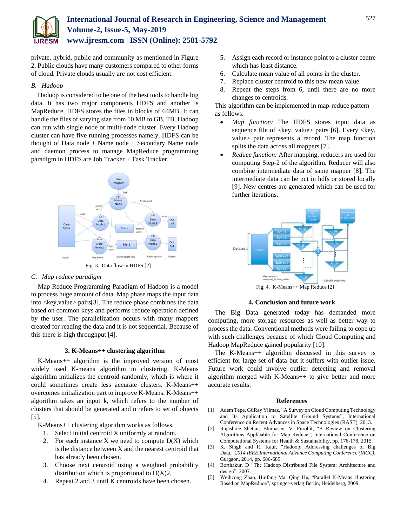

private, hybrid, public and community as mentioned in Figure 2. Public clouds have many customers compared to other forms of cloud. Private clouds usually are not cost efficient.

# *B. Hadoop*

Hadoop is considered to be one of the best tools to handle big data. It has two major components HDFS and another is MapReduce. HDFS stores the files in blocks of 64MB. It can handle the files of varying size from 10 MB to GB, TB. Hadoop can run with single node or multi-node cluster. Every Hadoop cluster can have five running processes namely. HDFS can be thought of Data node  $+$  Name node  $+$  Secondary Name node and daemon process to manage MapReduce programming paradigm in HDFS are Job Tracker + Task Tracker.



# *C. Map reduce paradigm*

Map Reduce Programming Paradigm of Hadoop is a model to process huge amount of data. Map phase maps the input data into <key,value> pairs[3]. The reduce phase combines the data based on common keys and performs reduce operation defined by the user. The parallelization occurs with many mappers created for reading the data and it is not sequential. Because of this there is high throughput [4].

## **3. K-Means++ clustering algorithm**

K-Means++ algorithm is the improved version of most widely used K-means algorithm in clustering. K-Means algorithm initializes the centroid randomly, which is where it could sometimes create less accurate clusters. K-Means++ overcomes initialization part to improve K-Means. K-Means++ algorithm takes an input k, which refers to the number of clusters that should be generated and n refers to set of objects [5].

K-Means++ clustering algorithm works as follows.

- 1. Select initial centroid X uniformly at random.
- 2. For each instance  $X$  we need to compute  $D(X)$  which is the distance between X and the nearest centroid that has already been chosen.
- 3. Choose next centroid using a weighted probability distribution which is proportional to  $D(X)2$ .
- 4. Repeat 2 and 3 until K centroids have been chosen.
- 5. Assign each record or instance point to a cluster centre which has least distance.
- 6. Calculate mean value of all points in the cluster.
- 7. Replace cluster centroid to this new mean value.
- 8. Repeat the steps from 6, until there are no more changes to centroids.

This algorithm can be implemented in map-reduce pattern as follows.

- *Map function:* The HDFS stores input data as sequence file of  $\langle \text{key}, \text{value} \rangle$  pairs [6]. Every  $\langle \text{key}, \rangle$ value> pair represents a record. The map function splits the data across all mappers [7].
- *Reduce function:* After mapping, reducers are used for computing Step-2 of the algorithm. Reducer will also combine intermediate data of same mapper [8]. The intermediate data can be put in hdfs or stored locally [9]. New centres are generated which can be used for further iterations.



**4. Conclusion and future work**

The Big Data generated today has demanded more computing, more storage resources as well as better way to process the data. Conventional methods were failing to cope up with such challenges because of which Cloud Computing and Hadoop MapReduce gained popularity [10].

The K-Means++ algorithm discussed in this survey is efficient for large set of data but it suffers with outlier issue. Future work could involve outlier detecting and removal algorithm merged with K-Means++ to give better and more accurate results.

## **References**

- [1] Adem Tepe, GüRay Yilmaz, "A Survey on Cloud Computing Technology and Its Application to Satellite Ground Systems", International Conference on Recent Advances in Space Technologies (RAST), 2013.
- [2] Rajashree Shettar, Bhimasen. V. Purohit, "A Review on Clustering Algorithms Applicable for Map Reduce", International Conference on Computational Systems for Health & Sustainability, pp. 176-178, 2015.
- [3] K. Singh and R. Kaur, "Hadoop: Addressing challenges of Big Data," *2014 IEEE International Advance Computing Conference (IACC)*, Gurgaon, 2014, pp. 686-689.
- [4] Borthakur. D "The Hadoop Distributed File System: Architecture and design", 2007.
- [5] Weihzong Zhao, Huifang Ma, Qing He, "Parallel K-Means clustering Based on MapReduce", springer-verlag Berlin, Heidelberg, 2009.